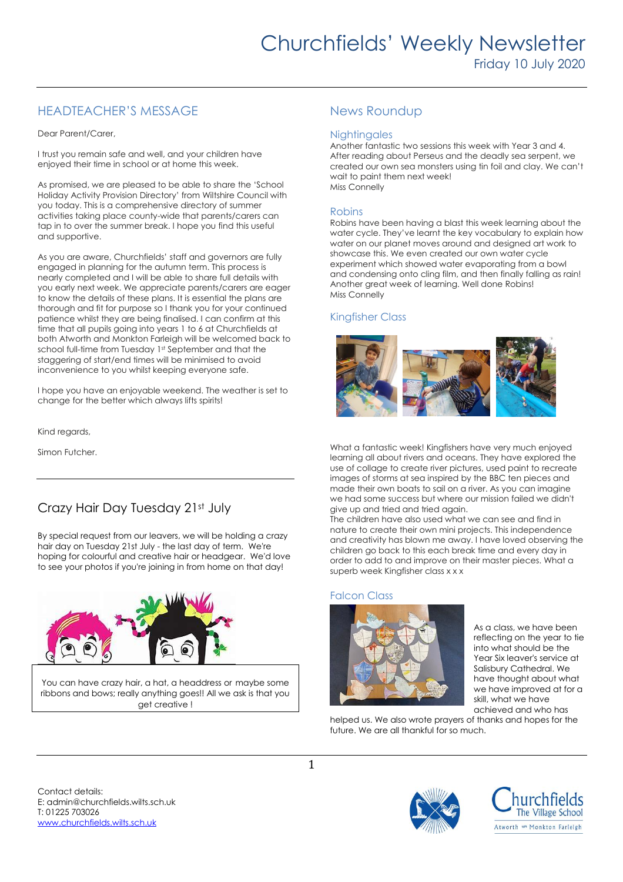# HEADTEACHER'S MESSAGE

Dear Parent/Carer,

I trust you remain safe and well, and your children have enjoyed their time in school or at home this week.

As promised, we are pleased to be able to share the 'School Holiday Activity Provision Directory' from Wiltshire Council with you today. This is a comprehensive directory of summer activities taking place county-wide that parents/carers can tap in to over the summer break. I hope you find this useful and supportive.

As you are aware, Churchfields' staff and governors are fully engaged in planning for the autumn term. This process is nearly completed and I will be able to share full details with you early next week. We appreciate parents/carers are eager to know the details of these plans. It is essential the plans are thorough and fit for purpose so I thank you for your continued patience whilst they are being finalised. I can confirm at this time that all pupils going into years 1 to 6 at Churchfields at both Atworth and Monkton Farleigh will be welcomed back to school full-time from Tuesday 1st September and that the staggering of start/end times will be minimised to avoid inconvenience to you whilst keeping everyone safe.

I hope you have an enjoyable weekend. The weather is set to change for the better which always lifts spirits!

Kind regards,

Simon Futcher.

# Crazy Hair Day Tuesday 21st July

By special request from our leavers, we will be holding a crazy hair day on Tuesday 21st July - the last day of term. We're hoping for colourful and creative hair or headgear. We'd love to see your photos if you're joining in from home on that day!



You can have crazy hair, a hat, a headdress or maybe some ribbons and bows; really anything goes!! All we ask is that you get creative !

# News Roundup

## **Nightingales**

Another fantastic two sessions this week with Year 3 and 4. After reading about Perseus and the deadly sea serpent, we created our own sea monsters using tin foil and clay. We can't wait to paint them next week! Miss Connelly

## Robins

Robins have been having a blast this week learning about the water cycle. They've learnt the key vocabulary to explain how water on our planet moves around and designed art work to showcase this. We even created our own water cycle experiment which showed water evaporating from a bowl and condensing onto cling film, and then finally falling as rain! Another great week of learning. Well done Robins! Miss Connelly

# Kingfisher Class



What a fantastic week! Kingfishers have very much enjoyed learning all about rivers and oceans. They have explored the use of collage to create river pictures, used paint to recreate images of storms at sea inspired by the BBC ten pieces and made their own boats to sail on a river. As you can imagine we had some success but where our mission failed we didn't give up and tried and tried again.

The children have also used what we can see and find in nature to create their own mini projects. This independence and creativity has blown me away. I have loved observing the children go back to this each break time and every day in order to add to and improve on their master pieces. What a superb week Kingfisher class x x x

### Falcon Class



As a class, we have been reflecting on the year to tie into what should be the Year Six leaver's service at Salisbury Cathedral. We have thought about what we have improved at for a skill, what we have achieved and who has

helped us. We also wrote prayers of thanks and hopes for the future. We are all thankful for so much.

Contact details: E: admin@churchfields.wilts.sch.uk T: 01225 703026 [www.churchfields.wilts.sch.uk](http://www.churchfields.wilts.sch.uk/) 



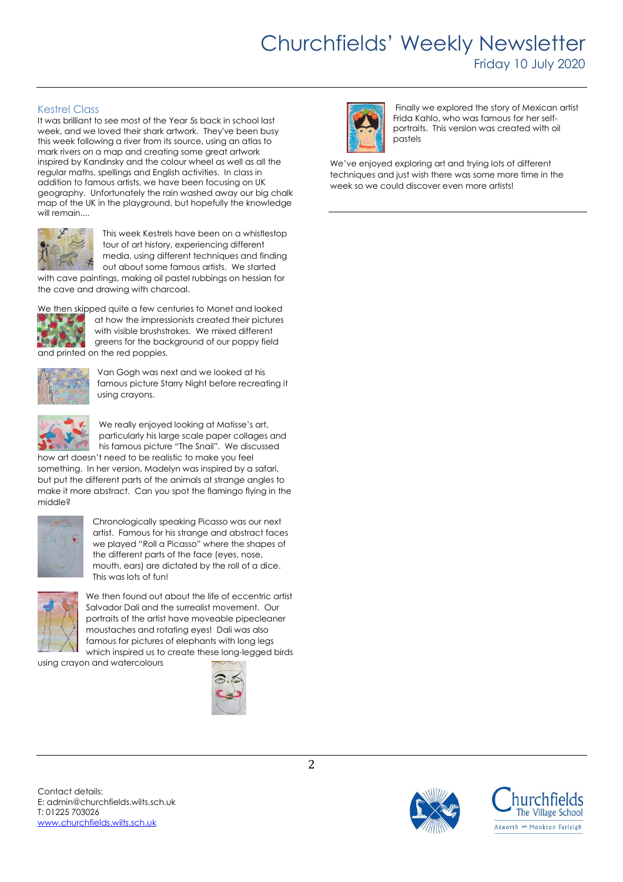# Churchfields' Weekly Newsletter Friday 10 July 2020

# Kestrel Class

It was brilliant to see most of the Year 5s back in school last week, and we loved their shark artwork. They've been busy this week following a river from its source, using an atlas to mark rivers on a map and creating some great artwork inspired by Kandinsky and the colour wheel as well as all the regular maths, spellings and English activities. In class in addition to famous artists, we have been focusing on UK geography. Unfortunately the rain washed away our big chalk map of the UK in the playground, but hopefully the knowledge will remain....



This week Kestrels have been on a whistlestop tour of art history, experiencing different media, using different techniques and finding out about some famous artists. We started

with cave paintings, making oil pastel rubbings on hessian for the cave and drawing with charcoal.



We then skipped quite a few centuries to Monet and looked at how the impressionists created their pictures with visible brushstrokes. We mixed different greens for the background of our poppy field and printed on the red poppies.



Van Gogh was next and we looked at his famous picture Starry Night before recreating it using crayons.



We really enjoyed looking at Matisse's art, particularly his large scale paper collages and his famous picture "The Snail". We discussed

how art doesn't need to be realistic to make you feel something. In her version, Madelyn was inspired by a safari, but put the different parts of the animals at strange angles to make it more abstract. Can you spot the flamingo flying in the middle?



Chronologically speaking Picasso was our next artist. Famous for his strange and abstract faces we played "Roll a Picasso" where the shapes of the different parts of the face (eyes, nose, mouth, ears) are dictated by the roll of a dice. This was lots of fun!



We then found out about the life of eccentric artist Salvador Dali and the surrealist movement. Our portraits of the artist have moveable pipecleaner moustaches and rotating eyes! Dali was also famous for pictures of elephants with long legs which inspired us to create these long-legged birds

using crayon and watercolours





Finally we explored the story of Mexican artist Frida Kahlo, who was famous for her selfportraits. This version was created with oil pastels

We've enjoyed exploring art and trying lots of different techniques and just wish there was some more time in the week so we could discover even more artists!



Contact details: E: admin@churchfields.wilts.sch.uk T: 01225 703026 [www.churchfields.wilts.sch.uk](http://www.churchfields.wilts.sch.uk/)